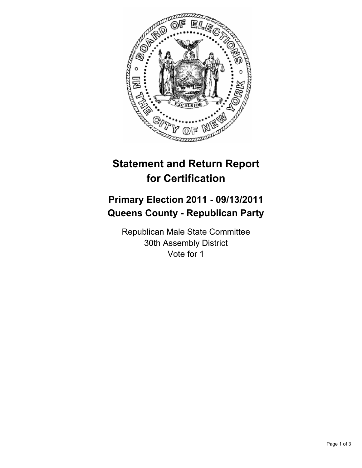

## **Statement and Return Report for Certification**

## **Primary Election 2011 - 09/13/2011 Queens County - Republican Party**

Republican Male State Committee 30th Assembly District Vote for 1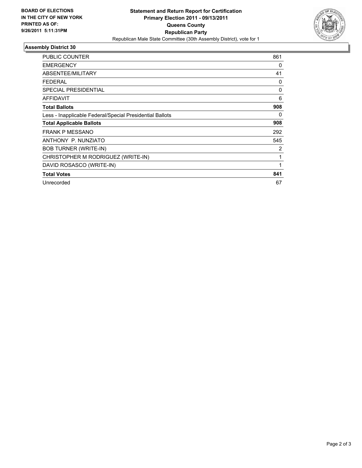

## **Assembly District 30**

| <b>PUBLIC COUNTER</b>                                    | 861      |
|----------------------------------------------------------|----------|
| <b>EMERGENCY</b>                                         | 0        |
| ABSENTEE/MILITARY                                        | 41       |
| FEDERAL                                                  | 0        |
| <b>SPECIAL PRESIDENTIAL</b>                              | $\Omega$ |
| <b>AFFIDAVIT</b>                                         | 6        |
| <b>Total Ballots</b>                                     | 908      |
| Less - Inapplicable Federal/Special Presidential Ballots | 0        |
| <b>Total Applicable Ballots</b>                          | 908      |
| <b>FRANK P MESSANO</b>                                   | 292      |
| ANTHONY P. NUNZIATO                                      | 545      |
| <b>BOB TURNER (WRITE-IN)</b>                             | 2        |
| CHRISTOPHER M RODRIGUEZ (WRITE-IN)                       | 1        |
| DAVID ROSASCO (WRITE-IN)                                 | 1        |
| <b>Total Votes</b>                                       | 841      |
| Unrecorded                                               | 67       |